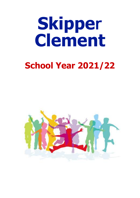# **Skipper Clement**

## **School Year 2021/22**

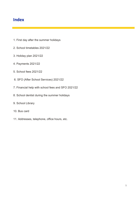#### **Index**

- 1. First day after the summer holidays
- 2. School timetables 2021/22
- 3. Holiday plan 2021/22
- 4. Payments 2021/22
- 5. School fees 2021/22
- 6. SFO (After School Services) 2021/22
- 7. Financial help with school fees and SFO 2021/22
- 8. School dentist during the summer holidays
- 9. School Library
- 10. Bus card
- 11. Addresses, telephone, office hours, etc.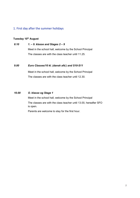#### 1. First day after the summer holidays

#### **Tuesday 10 th August**

*8.10 1. – 9. klasse and Stages 2 – 9* Meet in the school hall, welcome by the School Principal The classes are with the class teacher until 11.25.

#### *9.00 Euro Classes/10 kl. (dansk afd.) and S10-S11*

Meet in the school hall, welcome by the School Principal The classes are with the class teacher until 12.30.

#### *10.00 O. klasse og Stage 1*

Meet in the school hall, welcome by the School Principal The classes are with the class teacher until 13.00, hereafter SFO is open.

Parents are welcome to stay for the first hour.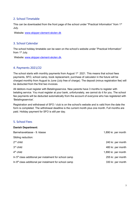#### 2. School Timetable

This can be downloaded from the front page of the school under "Practical Information" from 1<sup>st</sup> July.

Website: [www.skipper-clement-skolen.dk](http://www.skipper-clement-skolen.dk/)

#### 3. School Calendar

The school holiday timetable can be seen on the school's website under "Practical Information" from 1<sup>st</sup> July.

Website: [www.skipper-clement-skolen.dk.](http://www.skipper-clement-skolen.dk/)

#### 4. Payments 2021/22

The school starts with monthly payments from August  $1<sup>st</sup>$  2021. This means that school fees payments, SFO, school camp, book replacement, purchase of calculator in the future will be charged monthly from August to June (July free of charge). The deposit (minus registration fee) will be deducted from the first two invoices.

All debtors must register with Betalingsservice. New parents have 3 months to register with betaling service. You must register at your bank, unfortunately, we cannot do it for you. The school fee payments will be deducted automatically from the account of everyone who has registered with 'Betalingsservice'.

Registration and withdrawal of SFO / club is on the school's website and is valid from the date the form is completed. The withdrawal deadline is the current month plus one month. Full months are paid. Holiday payment for SFO is still per day.

#### 5. School Fees

| <b>Danish Department:</b>                                          |                     |
|--------------------------------------------------------------------|---------------------|
| Børnehaveklasse - 9. klasse                                        | 1,890 kr. per month |
| Sibling reduction:                                                 |                     |
| $2nd$ child                                                        | 240 kr. per month   |
| $3rd$ child                                                        | 480 kr. per month   |
| $4th$ child                                                        | 1,890 kr. per month |
| In 5 <sup>th</sup> class additional per instalment for school camp | 255 kr. per month   |
| In $8th$ class additional per instalment for school camp           | 330 kr. per month   |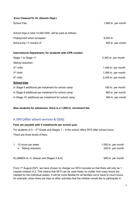| Euro Classes/10. Kl. (Danish Dept.) |  |  |  |
|-------------------------------------|--|--|--|
|-------------------------------------|--|--|--|

| School Fee:                                                | 1,890 kr. per month |
|------------------------------------------------------------|---------------------|
| School trips in total 14,050 DKK, will be paid as follows: |                     |
| Prepayment when accepted                                   | 8,000 kr.           |
| School trip 11 months of                                   | 550 kr. per month   |
| International Department; for students with CPR number.    |                     |
| Stage 1 to Stage 11                                        | 2,345 kr. per month |
| Sibling reduction:                                         |                     |
| $2nd$ child                                                | 1,095 kr. per month |
| $3rd$ child                                                | 1,095 kr. per month |
| $4th$ child                                                | 2,345 kr. per month |
| <b>School trips</b>                                        |                     |
| In Stage 6 additional per instalment for school camp       | 185 kr. per month   |
| In Stage 8 additional per instalment for school camp       | 365 kr. per month   |
| In Stage 10: additional per instalment for school camp     | 365 kr. per month   |

**New students for admission, there is a 1,000 kr. enrolment fee.**

#### 6. SFO (After school services & Club)

#### **Fees are payable with 4 instalments per school year.**

For students in  $0 - 3<sup>rd</sup>$  Grade and Stages 1 – 4 the school offers SFO after school hours. There are three levels of fees:

| 1. 10 hours per week: | 1,050 kr. per month |
|-----------------------|---------------------|
| • Sibling reduction   | 220 kr. per month   |
|                       |                     |

KLUBBEN (4.-5. klasser and Stages 5 & 6): 695 kr. per month

From 1<sup>st</sup> August 2021, we have chosen to change our SFO modules so that there will only be 1 module instead of 2. This means that SFO can be used freely no matter how many hours are needed for the individual weeks. It will be more flexible for all families not to have to count hours, for example, when there are trips or other activities that the children would like to participate in.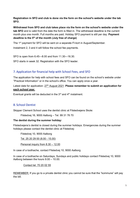**Registration in SFO and club is done via the form on the school's website under the tab SFO.**

**Withdrawal from SFO and club takes place via the form on the school's website under the tab SFO** and is valid from the date the form is filled in. The withdrawal deadline is the current month plus one month. Full months are paid. Holiday SFO payment is still per day. **Payment deadline is the 5th of the month (July free of charge)**

The 1<sup>st</sup> payment for SFO will be sent on a separate FI-kort in August/September.

Instalment 2, 3 and 4 will follow the school fee payments.

SFO is open from 6.45—8.00 and from 11.30—16.30.

SFO starts in week 32. Registration with the SFO leader.

#### 7. Application for financial help with School Fees, and SFO

The application for help with school fees and SFO can be found on the school's website under "Practical Information" or in the school's office. You can apply once a year.

Latest date for application: 27th August 2021. **Please remember to submit an application for each school year.**

Eventual grants will be deducted in the  $3<sup>rd</sup>$  and  $4<sup>th</sup>$  instalment.

#### 8. School Dentist

Skipper Clement School uses the dentist clinic at Filstedvejens Skole:

Filstedvej 16, 9000 Aalborg – Tel. 99 31 76 70

#### **The dentist during the summer holiday:**

Filstedvejens's dentist is closed during the summer holidays. Emergencies during the summer holidays please contact the dentist clinic at Filstedvej:

Filstedvej 10, 9000 Aalborg

Tel. 25 20 29 00 (8.00 - 15.00)

Personal inquiry from 8.30 – 12.00

In case of a toothache, contact Filstedvej 10, 9000 Aalborg

In case of a toothache on Saturdays, Sundays and public holidays contact Filstedvej 10, 9000 Aalborg between the hours 9.00 – 10.00.

Contact tel. 70 20 02 55

REMEMBER: If you go to a private dentist clinic you cannot be sure that the "kommune" will pay the bill.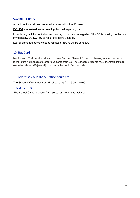#### 9. School Library

All text books must be covered with paper within the  $1<sup>st</sup>$  week.

DO NOT use self-adhesive covering film, cellotape or glue.

Look through all the books before covering. If they are damaged or if the CD is missing, contact us immediately. DO NOT try to repair the books yourself.

Lost or damaged books must be replaced - a Giro will be sent out.

#### 10. Bus Card

Nordjyllands Trafikselskab does not cover Skipper Clement School for issuing school bus cards. It is therefore not possible to order bus cards from us. The school's students must therefore instead use a travel card (Rejsekort) or a commuter card (Pendlerkort).

#### 11. Addresses, telephone, office hours etc.

The School Office is open on all school days from 8.00 – 15.00.

#### Tlf. 98 12 11 88

The School Office is closed from 5/7 to 1/8, both days included.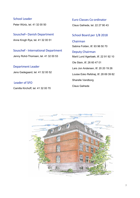#### School Leader

Peter Würtz, tel. 41 32 00 50

Souschef– Danish Department Anne Krogh Rye, tel. 41 32 00 51

Souschef - International Department Jenny Rohd-Thomsen, tel. 41 32 00 53

Department Leader

Jens Gadegaard, tel. 41 32 00 52

#### Leader of SFO

Camilla Kirchoff, tel. 41 32 00 70

Euro Classes Co-ordinator

Claus Gaihede, tel. 22 27 90 43

#### School Board per 1/8 2018

Chairman Sabina Folden, tlf. 93 96 50 70

Deputy Chairman Marit Lund Agerbæk, tlf. 22 91 92 10 Ole Stein, tlf. 26 60 47 01 Lars Jon Andersen, tlf. 20 20 19 26 Louise Esko Refshøj, tlf. 28 69 39 82 Sharelle Vandborg Claus Gaihede